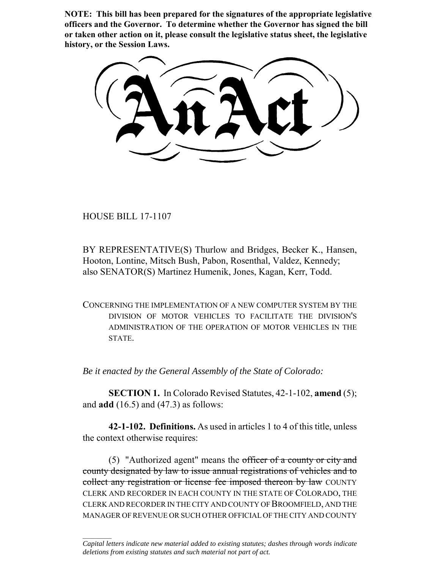**NOTE: This bill has been prepared for the signatures of the appropriate legislative officers and the Governor. To determine whether the Governor has signed the bill or taken other action on it, please consult the legislative status sheet, the legislative history, or the Session Laws.**

HOUSE BILL 17-1107

 $\frac{1}{2}$ 

BY REPRESENTATIVE(S) Thurlow and Bridges, Becker K., Hansen, Hooton, Lontine, Mitsch Bush, Pabon, Rosenthal, Valdez, Kennedy; also SENATOR(S) Martinez Humenik, Jones, Kagan, Kerr, Todd.

CONCERNING THE IMPLEMENTATION OF A NEW COMPUTER SYSTEM BY THE DIVISION OF MOTOR VEHICLES TO FACILITATE THE DIVISION'S ADMINISTRATION OF THE OPERATION OF MOTOR VEHICLES IN THE STATE.

*Be it enacted by the General Assembly of the State of Colorado:*

**SECTION 1.** In Colorado Revised Statutes, 42-1-102, **amend** (5); and **add** (16.5) and (47.3) as follows:

**42-1-102. Definitions.** As used in articles 1 to 4 of this title, unless the context otherwise requires:

(5) "Authorized agent" means the officer of a county or city and county designated by law to issue annual registrations of vehicles and to collect any registration or license fee imposed thereon by law COUNTY CLERK AND RECORDER IN EACH COUNTY IN THE STATE OF COLORADO, THE CLERK AND RECORDER IN THE CITY AND COUNTY OF BROOMFIELD, AND THE MANAGER OF REVENUE OR SUCH OTHER OFFICIAL OF THE CITY AND COUNTY

*Capital letters indicate new material added to existing statutes; dashes through words indicate deletions from existing statutes and such material not part of act.*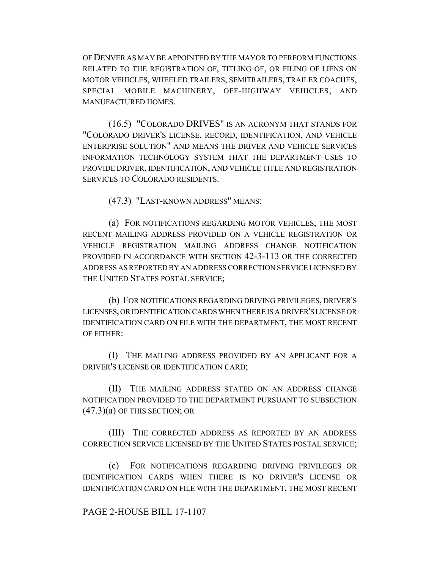OF DENVER AS MAY BE APPOINTED BY THE MAYOR TO PERFORM FUNCTIONS RELATED TO THE REGISTRATION OF, TITLING OF, OR FILING OF LIENS ON MOTOR VEHICLES, WHEELED TRAILERS, SEMITRAILERS, TRAILER COACHES, SPECIAL MOBILE MACHINERY, OFF-HIGHWAY VEHICLES, AND MANUFACTURED HOMES.

(16.5) "COLORADO DRIVES" IS AN ACRONYM THAT STANDS FOR "COLORADO DRIVER'S LICENSE, RECORD, IDENTIFICATION, AND VEHICLE ENTERPRISE SOLUTION" AND MEANS THE DRIVER AND VEHICLE SERVICES INFORMATION TECHNOLOGY SYSTEM THAT THE DEPARTMENT USES TO PROVIDE DRIVER, IDENTIFICATION, AND VEHICLE TITLE AND REGISTRATION SERVICES TO COLORADO RESIDENTS.

(47.3) "LAST-KNOWN ADDRESS" MEANS:

(a) FOR NOTIFICATIONS REGARDING MOTOR VEHICLES, THE MOST RECENT MAILING ADDRESS PROVIDED ON A VEHICLE REGISTRATION OR VEHICLE REGISTRATION MAILING ADDRESS CHANGE NOTIFICATION PROVIDED IN ACCORDANCE WITH SECTION 42-3-113 OR THE CORRECTED ADDRESS AS REPORTED BY AN ADDRESS CORRECTION SERVICE LICENSED BY THE UNITED STATES POSTAL SERVICE;

(b) FOR NOTIFICATIONS REGARDING DRIVING PRIVILEGES, DRIVER'S LICENSES, OR IDENTIFICATION CARDS WHEN THERE IS A DRIVER'S LICENSE OR IDENTIFICATION CARD ON FILE WITH THE DEPARTMENT, THE MOST RECENT OF EITHER:

(I) THE MAILING ADDRESS PROVIDED BY AN APPLICANT FOR A DRIVER'S LICENSE OR IDENTIFICATION CARD;

(II) THE MAILING ADDRESS STATED ON AN ADDRESS CHANGE NOTIFICATION PROVIDED TO THE DEPARTMENT PURSUANT TO SUBSECTION  $(47.3)(a)$  OF THIS SECTION; OR

(III) THE CORRECTED ADDRESS AS REPORTED BY AN ADDRESS CORRECTION SERVICE LICENSED BY THE UNITED STATES POSTAL SERVICE;

(c) FOR NOTIFICATIONS REGARDING DRIVING PRIVILEGES OR IDENTIFICATION CARDS WHEN THERE IS NO DRIVER'S LICENSE OR IDENTIFICATION CARD ON FILE WITH THE DEPARTMENT, THE MOST RECENT

## PAGE 2-HOUSE BILL 17-1107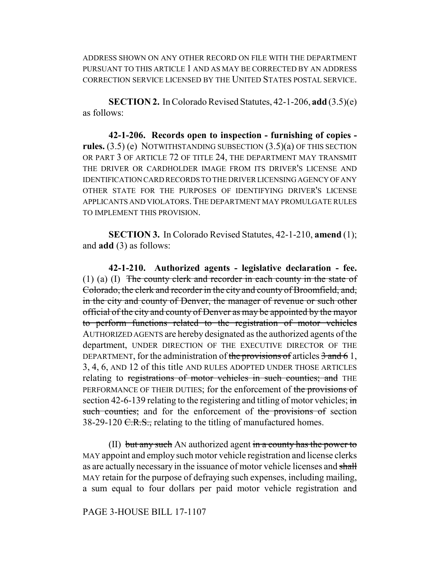ADDRESS SHOWN ON ANY OTHER RECORD ON FILE WITH THE DEPARTMENT PURSUANT TO THIS ARTICLE 1 AND AS MAY BE CORRECTED BY AN ADDRESS CORRECTION SERVICE LICENSED BY THE UNITED STATES POSTAL SERVICE.

**SECTION 2.** In Colorado Revised Statutes, 42-1-206, **add** (3.5)(e) as follows:

**42-1-206. Records open to inspection - furnishing of copies rules.** (3.5) (e) NOTWITHSTANDING SUBSECTION (3.5)(a) OF THIS SECTION OR PART 3 OF ARTICLE 72 OF TITLE 24, THE DEPARTMENT MAY TRANSMIT THE DRIVER OR CARDHOLDER IMAGE FROM ITS DRIVER'S LICENSE AND IDENTIFICATION CARD RECORDS TO THE DRIVER LICENSING AGENCY OF ANY OTHER STATE FOR THE PURPOSES OF IDENTIFYING DRIVER'S LICENSE APPLICANTS AND VIOLATORS.THE DEPARTMENT MAY PROMULGATE RULES TO IMPLEMENT THIS PROVISION.

**SECTION 3.** In Colorado Revised Statutes, 42-1-210, **amend** (1); and **add** (3) as follows:

**42-1-210. Authorized agents - legislative declaration - fee.** (1) (a) (I) The county clerk and recorder in each county in the state of Colorado, the clerk and recorder in the city and county of Broomfield, and, in the city and county of Denver, the manager of revenue or such other official of the city and county of Denver as may be appointed by the mayor to perform functions related to the registration of motor vehicles AUTHORIZED AGENTS are hereby designated as the authorized agents of the department, UNDER DIRECTION OF THE EXECUTIVE DIRECTOR OF THE DEPARTMENT, for the administration of the provisions of articles  $\frac{3}{4}$  and  $\frac{6}{1}$ , 3, 4, 6, AND 12 of this title AND RULES ADOPTED UNDER THOSE ARTICLES relating to registrations of motor vehicles in such counties; and THE PERFORMANCE OF THEIR DUTIES; for the enforcement of the provisions of section 42-6-139 relating to the registering and titling of motor vehicles;  $\dot{m}$ such counties; and for the enforcement of the provisions of section 38-29-120  $C.R.S.,$  relating to the titling of manufactured homes.

(II) but any such AN authorized agent in a county has the power to MAY appoint and employ such motor vehicle registration and license clerks as are actually necessary in the issuance of motor vehicle licenses and shall MAY retain for the purpose of defraying such expenses, including mailing, a sum equal to four dollars per paid motor vehicle registration and

#### PAGE 3-HOUSE BILL 17-1107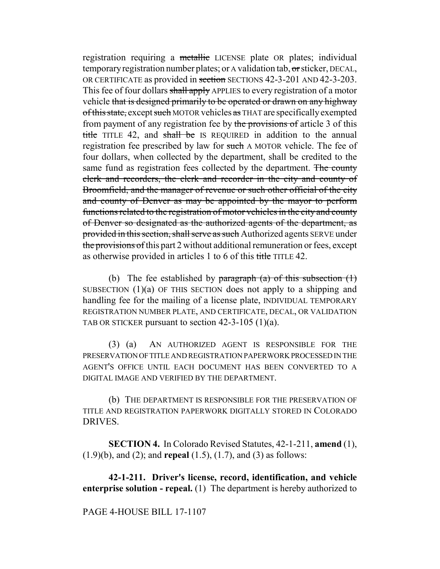registration requiring a metallic LICENSE plate OR plates; individual temporary registration number plates; or A validation tab, or sticker, DECAL, OR CERTIFICATE as provided in section SECTIONS 42-3-201 AND 42-3-203. This fee of four dollars shall apply APPLIES to every registration of a motor vehicle that is designed primarily to be operated or drawn on any highway of this state, except such MOTOR vehicles as THAT are specifically exempted from payment of any registration fee by the provisions of article 3 of this title TITLE 42, and shall be IS REQUIRED in addition to the annual registration fee prescribed by law for such A MOTOR vehicle. The fee of four dollars, when collected by the department, shall be credited to the same fund as registration fees collected by the department. The county clerk and recorders, the clerk and recorder in the city and county of Broomfield, and the manager of revenue or such other official of the city and county of Denver as may be appointed by the mayor to perform functions related to the registration of motor vehicles in the city and county of Denver so designated as the authorized agents of the department, as provided in this section, shall serve as such Authorized agents SERVE under the provisions of this part 2 without additional remuneration or fees, except as otherwise provided in articles 1 to 6 of this title TITLE 42.

(b) The fee established by paragraph (a) of this subsection  $(1)$ SUBSECTION (1)(a) OF THIS SECTION does not apply to a shipping and handling fee for the mailing of a license plate, INDIVIDUAL TEMPORARY REGISTRATION NUMBER PLATE, AND CERTIFICATE, DECAL, OR VALIDATION TAB OR STICKER pursuant to section 42-3-105 (1)(a).

(3) (a) AN AUTHORIZED AGENT IS RESPONSIBLE FOR THE PRESERVATION OF TITLE AND REGISTRATION PAPERWORK PROCESSED IN THE AGENT'S OFFICE UNTIL EACH DOCUMENT HAS BEEN CONVERTED TO A DIGITAL IMAGE AND VERIFIED BY THE DEPARTMENT.

(b) THE DEPARTMENT IS RESPONSIBLE FOR THE PRESERVATION OF TITLE AND REGISTRATION PAPERWORK DIGITALLY STORED IN COLORADO DRIVES.

**SECTION 4.** In Colorado Revised Statutes, 42-1-211, **amend** (1), (1.9)(b), and (2); and **repeal** (1.5), (1.7), and (3) as follows:

**42-1-211. Driver's license, record, identification, and vehicle enterprise solution - repeal.** (1) The department is hereby authorized to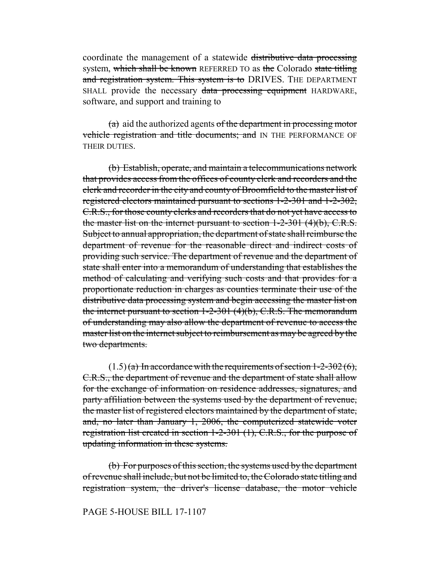coordinate the management of a statewide distributive data processing system, which shall be known REFERRED TO as the Colorado state titling and registration system. This system is to DRIVES. THE DEPARTMENT SHALL provide the necessary data processing equipment HARDWARE, software, and support and training to

 $(a)$  aid the authorized agents of the department in processing motor vehicle registration and title documents; and IN THE PERFORMANCE OF THEIR DUTIES.

(b) Establish, operate, and maintain a telecommunications network that provides access from the offices of county clerk and recorders and the clerk and recorder in the city and county of Broomfield to the master list of registered electors maintained pursuant to sections 1-2-301 and 1-2-302, C.R.S., for those county clerks and recorders that do not yet have access to the master list on the internet pursuant to section  $1-2-301$  (4)(b), C.R.S. Subject to annual appropriation, the department of state shall reimburse the department of revenue for the reasonable direct and indirect costs of providing such service. The department of revenue and the department of state shall enter into a memorandum of understanding that establishes the method of calculating and verifying such costs and that provides for a proportionate reduction in charges as counties terminate their use of the distributive data processing system and begin accessing the master list on the internet pursuant to section 1-2-301 (4)(b), C.R.S. The memorandum of understanding may also allow the department of revenue to access the master list on the internet subject to reimbursement as may be agreed by the two departments.

 $(1.5)$  (a) In accordance with the requirements of section 1-2-302 (6), C.R.S., the department of revenue and the department of state shall allow for the exchange of information on residence addresses, signatures, and party affiliation between the systems used by the department of revenue, the master list of registered electors maintained by the department of state, and, no later than January 1, 2006, the computerized statewide voter registration list created in section 1-2-301 (1), C.R.S., for the purpose of updating information in these systems.

(b) For purposes of this section, the systems used by the department of revenue shall include, but not be limited to, the Colorado state titling and registration system, the driver's license database, the motor vehicle

## PAGE 5-HOUSE BILL 17-1107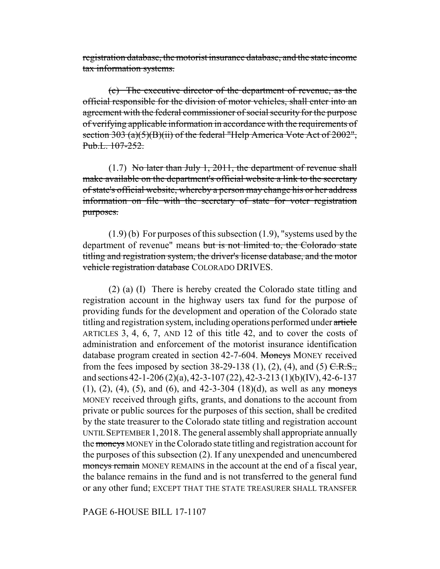registration database, the motorist insurance database, and the state income tax information systems.

(c) The executive director of the department of revenue, as the official responsible for the division of motor vehicles, shall enter into an agreement with the federal commissioner of social security for the purpose of verifying applicable information in accordance with the requirements of section 303 (a)(5)(B)(ii) of the federal "Help America Vote Act of 2002", Pub.L. 107-252.

(1.7) No later than July 1, 2011, the department of revenue shall make available on the department's official website a link to the secretary of state's official website, whereby a person may change his or her address information on file with the secretary of state for voter registration purposes.

(1.9) (b) For purposes of this subsection (1.9), "systems used by the department of revenue" means but is not limited to, the Colorado state titling and registration system, the driver's license database, and the motor vehicle registration database COLORADO DRIVES.

(2) (a) (I) There is hereby created the Colorado state titling and registration account in the highway users tax fund for the purpose of providing funds for the development and operation of the Colorado state titling and registration system, including operations performed under article ARTICLES 3, 4, 6, 7, AND 12 of this title 42, and to cover the costs of administration and enforcement of the motorist insurance identification database program created in section 42-7-604. Moneys MONEY received from the fees imposed by section 38-29-138 (1), (2), (4), and (5)  $C.R.S.,$ and sections 42-1-206 (2)(a), 42-3-107 (22), 42-3-213 (1)(b)(IV), 42-6-137  $(1)$ ,  $(2)$ ,  $(4)$ ,  $(5)$ , and  $(6)$ , and  $(42-3-304)(18)(d)$ , as well as any moneys MONEY received through gifts, grants, and donations to the account from private or public sources for the purposes of this section, shall be credited by the state treasurer to the Colorado state titling and registration account UNTIL SEPTEMBER 1,2018. The general assembly shall appropriate annually the moneys MONEY in the Colorado state titling and registration account for the purposes of this subsection (2). If any unexpended and unencumbered moneys remain MONEY REMAINS in the account at the end of a fiscal year, the balance remains in the fund and is not transferred to the general fund or any other fund; EXCEPT THAT THE STATE TREASURER SHALL TRANSFER

PAGE 6-HOUSE BILL 17-1107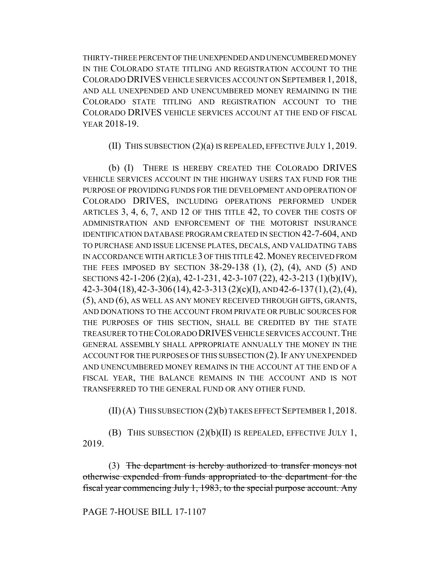THIRTY-THREE PERCENT OF THE UNEXPENDED AND UNENCUMBERED MONEY IN THE COLORADO STATE TITLING AND REGISTRATION ACCOUNT TO THE COLORADO DRIVES VEHICLE SERVICES ACCOUNT ON SEPTEMBER 1, 2018, AND ALL UNEXPENDED AND UNENCUMBERED MONEY REMAINING IN THE COLORADO STATE TITLING AND REGISTRATION ACCOUNT TO THE COLORADO DRIVES VEHICLE SERVICES ACCOUNT AT THE END OF FISCAL YEAR 2018-19.

(II) THIS SUBSECTION (2)(a) IS REPEALED, EFFECTIVE JULY 1, 2019.

(b) (I) THERE IS HEREBY CREATED THE COLORADO DRIVES VEHICLE SERVICES ACCOUNT IN THE HIGHWAY USERS TAX FUND FOR THE PURPOSE OF PROVIDING FUNDS FOR THE DEVELOPMENT AND OPERATION OF COLORADO DRIVES, INCLUDING OPERATIONS PERFORMED UNDER ARTICLES 3, 4, 6, 7, AND 12 OF THIS TITLE 42, TO COVER THE COSTS OF ADMINISTRATION AND ENFORCEMENT OF THE MOTORIST INSURANCE IDENTIFICATION DATABASE PROGRAM CREATED IN SECTION 42-7-604, AND TO PURCHASE AND ISSUE LICENSE PLATES, DECALS, AND VALIDATING TABS IN ACCORDANCE WITH ARTICLE 3 OF THIS TITLE 42.MONEY RECEIVED FROM THE FEES IMPOSED BY SECTION 38-29-138 (1), (2), (4), AND (5) AND SECTIONS 42-1-206 (2)(a), 42-1-231, 42-3-107 (22), 42-3-213 (1)(b)(IV), 42-3-304(18),42-3-306(14),42-3-313 (2)(c)(I), AND 42-6-137(1),(2),(4), (5), AND (6), AS WELL AS ANY MONEY RECEIVED THROUGH GIFTS, GRANTS, AND DONATIONS TO THE ACCOUNT FROM PRIVATE OR PUBLIC SOURCES FOR THE PURPOSES OF THIS SECTION, SHALL BE CREDITED BY THE STATE TREASURER TO THE COLORADO DRIVES VEHICLE SERVICES ACCOUNT.THE GENERAL ASSEMBLY SHALL APPROPRIATE ANNUALLY THE MONEY IN THE ACCOUNT FOR THE PURPOSES OF THIS SUBSECTION (2). IF ANY UNEXPENDED AND UNENCUMBERED MONEY REMAINS IN THE ACCOUNT AT THE END OF A FISCAL YEAR, THE BALANCE REMAINS IN THE ACCOUNT AND IS NOT TRANSFERRED TO THE GENERAL FUND OR ANY OTHER FUND.

(II) (A) THIS SUBSECTION (2)(b) TAKES EFFECT SEPTEMBER 1,2018.

(B) THIS SUBSECTION (2)(b)(II) IS REPEALED, EFFECTIVE JULY 1, 2019.

(3) The department is hereby authorized to transfer moneys not otherwise expended from funds appropriated to the department for the fiscal year commencing July 1, 1983, to the special purpose account. Any

PAGE 7-HOUSE BILL 17-1107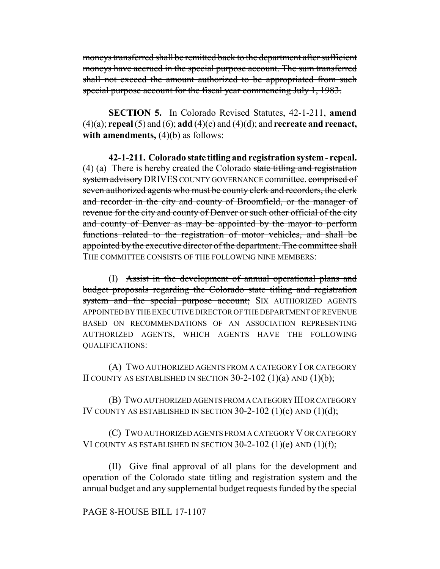moneys transferred shall be remitted back to the department after sufficient moneys have accrued in the special purpose account. The sum transferred shall not exceed the amount authorized to be appropriated from such special purpose account for the fiscal year commencing July 1, 1983.

**SECTION 5.** In Colorado Revised Statutes, 42-1-211, **amend** (4)(a); **repeal** (5) and (6); **add** (4)(c) and (4)(d); and **recreate and reenact, with amendments,** (4)(b) as follows:

**42-1-211. Colorado state titling and registration system - repeal.** (4) (a) There is hereby created the Colorado state titling and registration system advisory DRIVES COUNTY GOVERNANCE committee. comprised of seven authorized agents who must be county clerk and recorders, the clerk and recorder in the city and county of Broomfield, or the manager of revenue for the city and county of Denver or such other official of the city and county of Denver as may be appointed by the mayor to perform functions related to the registration of motor vehicles, and shall be appointed by the executive director of the department. The committee shall THE COMMITTEE CONSISTS OF THE FOLLOWING NINE MEMBERS:

(I) Assist in the development of annual operational plans and budget proposals regarding the Colorado state titling and registration system and the special purpose account; SIX AUTHORIZED AGENTS APPOINTED BY THE EXECUTIVE DIRECTOR OF THE DEPARTMENT OF REVENUE BASED ON RECOMMENDATIONS OF AN ASSOCIATION REPRESENTING AUTHORIZED AGENTS, WHICH AGENTS HAVE THE FOLLOWING QUALIFICATIONS:

(A) TWO AUTHORIZED AGENTS FROM A CATEGORY I OR CATEGORY II COUNTY AS ESTABLISHED IN SECTION  $30-2-102$  (1)(a) AND (1)(b);

(B) TWO AUTHORIZED AGENTS FROM A CATEGORY III OR CATEGORY IV COUNTY AS ESTABLISHED IN SECTION 30-2-102 (1)(c) AND (1)(d);

(C) TWO AUTHORIZED AGENTS FROM A CATEGORY V OR CATEGORY VI COUNTY AS ESTABLISHED IN SECTION  $30-2-102$  (1)(e) AND (1)(f);

(II) Give final approval of all plans for the development and operation of the Colorado state titling and registration system and the annual budget and any supplemental budget requests funded by the special

# PAGE 8-HOUSE BILL 17-1107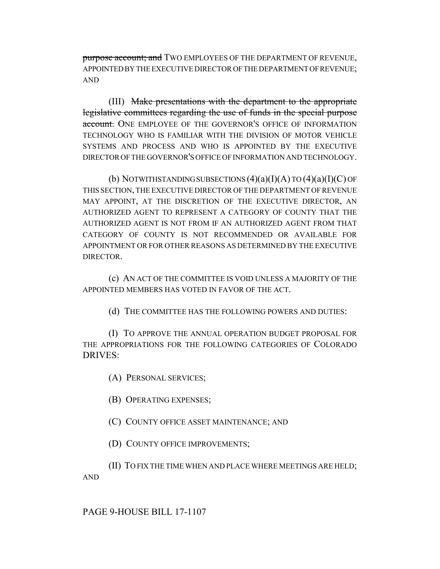purpose account; and TWO EMPLOYEES OF THE DEPARTMENT OF REVENUE, APPOINTED BY THE EXECUTIVE DIRECTOR OF THE DEPARTMENT OF REVENUE; AND

(III) Make presentations with the department to the appropriate legislative committees regarding the use of funds in the special purpose account. ONE EMPLOYEE OF THE GOVERNOR'S OFFICE OF INFORMATION TECHNOLOGY WHO IS FAMILIAR WITH THE DIVISION OF MOTOR VEHICLE SYSTEMS AND PROCESS AND WHO IS APPOINTED BY THE EXECUTIVE DIRECTOR OF THE GOVERNOR'S OFFICE OF INFORMATION AND TECHNOLOGY.

(b) NOTWITHSTANDING SUBSECTIONS  $(4)(a)(I)(A)$  TO  $(4)(a)(I)(C)$  OF THIS SECTION, THE EXECUTIVE DIRECTOR OF THE DEPARTMENT OF REVENUE MAY APPOINT, AT THE DISCRETION OF THE EXECUTIVE DIRECTOR, AN AUTHORIZED AGENT TO REPRESENT A CATEGORY OF COUNTY THAT THE AUTHORIZED AGENT IS NOT FROM IF AN AUTHORIZED AGENT FROM THAT CATEGORY OF COUNTY IS NOT RECOMMENDED OR AVAILABLE FOR APPOINTMENT OR FOR OTHER REASONS AS DETERMINED BY THE EXECUTIVE DIRECTOR.

(c) AN ACT OF THE COMMITTEE IS VOID UNLESS A MAJORITY OF THE APPOINTED MEMBERS HAS VOTED IN FAVOR OF THE ACT.

(d) THE COMMITTEE HAS THE FOLLOWING POWERS AND DUTIES:

(I) TO APPROVE THE ANNUAL OPERATION BUDGET PROPOSAL FOR THE APPROPRIATIONS FOR THE FOLLOWING CATEGORIES OF COLORADO DRIVES:

(A) PERSONAL SERVICES;

(B) OPERATING EXPENSES;

(C) COUNTY OFFICE ASSET MAINTENANCE; AND

(D) COUNTY OFFICE IMPROVEMENTS;

(II) TO FIX THE TIME WHEN AND PLACE WHERE MEETINGS ARE HELD;

AND

## PAGE 9-HOUSE BILL 17-1107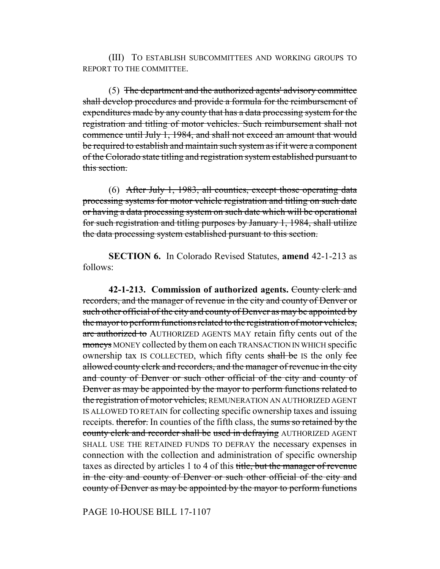(III) TO ESTABLISH SUBCOMMITTEES AND WORKING GROUPS TO REPORT TO THE COMMITTEE.

(5) The department and the authorized agents' advisory committee shall develop procedures and provide a formula for the reimbursement of expenditures made by any county that has a data processing system for the registration and titling of motor vehicles. Such reimbursement shall not commence until July 1, 1984, and shall not exceed an amount that would be required to establish and maintain such system as if it were a component of the Colorado state titling and registration system established pursuant to this section.

(6) After July 1, 1983, all counties, except those operating data processing systems for motor vehicle registration and titling on such date or having a data processing system on such date which will be operational for such registration and titling purposes by January 1, 1984, shall utilize the data processing system established pursuant to this section.

**SECTION 6.** In Colorado Revised Statutes, **amend** 42-1-213 as follows:

**42-1-213. Commission of authorized agents.** County clerk and recorders, and the manager of revenue in the city and county of Denver or such other official of the city and county of Denver as may be appointed by the mayor to perform functions related to the registration of motor vehicles, are authorized to AUTHORIZED AGENTS MAY retain fifty cents out of the moneys MONEY collected by them on each TRANSACTION IN WHICH specific ownership tax IS COLLECTED, which fifty cents shall be IS the only fee allowed county clerk and recorders, and the manager of revenue in the city and county of Denver or such other official of the city and county of Denver as may be appointed by the mayor to perform functions related to the registration of motor vehicles, REMUNERATION AN AUTHORIZED AGENT IS ALLOWED TO RETAIN for collecting specific ownership taxes and issuing receipts. therefor. In counties of the fifth class, the sums so retained by the county clerk and recorder shall be used in defraying AUTHORIZED AGENT SHALL USE THE RETAINED FUNDS TO DEFRAY the necessary expenses in connection with the collection and administration of specific ownership taxes as directed by articles 1 to 4 of this title, but the manager of revenue in the city and county of Denver or such other official of the city and county of Denver as may be appointed by the mayor to perform functions

PAGE 10-HOUSE BILL 17-1107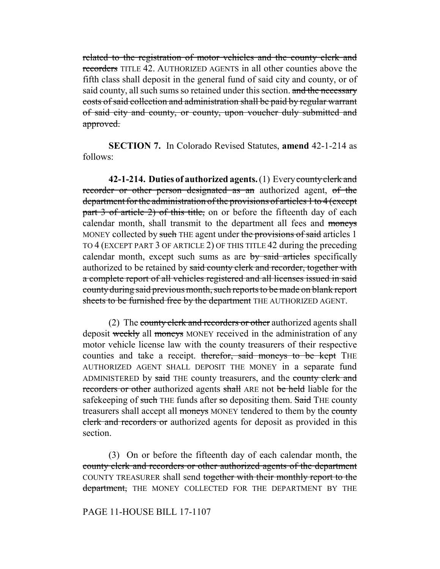related to the registration of motor vehicles and the county clerk and recorders TITLE 42. AUTHORIZED AGENTS in all other counties above the fifth class shall deposit in the general fund of said city and county, or of said county, all such sums so retained under this section. and the necessary costs of said collection and administration shall be paid by regular warrant of said city and county, or county, upon voucher duly submitted and approved.

**SECTION 7.** In Colorado Revised Statutes, **amend** 42-1-214 as follows:

**42-1-214. Duties of authorized agents.** (1) Every county clerk and recorder or other person designated as an authorized agent, of the department for the administration of the provisions of articles 1 to 4 (except part 3 of article 2) of this title, on or before the fifteenth day of each calendar month, shall transmit to the department all fees and moneys MONEY collected by such THE agent under the provisions of said articles 1 TO 4 (EXCEPT PART 3 OF ARTICLE 2) OF THIS TITLE 42 during the preceding calendar month, except such sums as are by said articles specifically authorized to be retained by said county clerk and recorder, together with a complete report of all vehicles registered and all licenses issued in said county during said previous month, such reports to be made on blank report sheets to be furnished free by the department THE AUTHORIZED AGENT.

(2) The county clerk and recorders or other authorized agents shall deposit weekly all moneys MONEY received in the administration of any motor vehicle license law with the county treasurers of their respective counties and take a receipt. therefor, said moneys to be kept THE AUTHORIZED AGENT SHALL DEPOSIT THE MONEY in a separate fund ADMINISTERED by said THE county treasurers, and the county clerk and recorders or other authorized agents shall ARE not be held liable for the safekeeping of such THE funds after so depositing them. Said THE county treasurers shall accept all moneys MONEY tendered to them by the county clerk and recorders or authorized agents for deposit as provided in this section.

(3) On or before the fifteenth day of each calendar month, the county clerk and recorders or other authorized agents of the department COUNTY TREASURER shall send together with their monthly report to the department, THE MONEY COLLECTED FOR THE DEPARTMENT BY THE

#### PAGE 11-HOUSE BILL 17-1107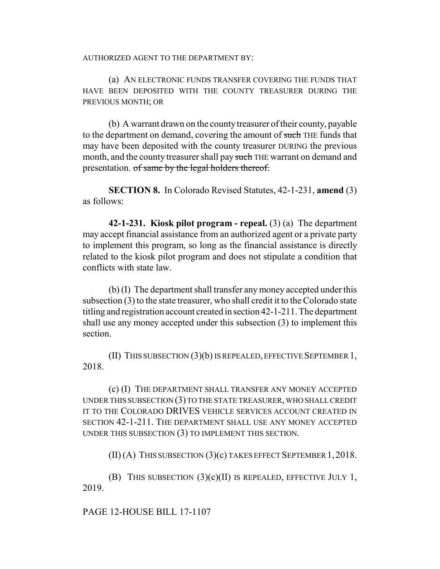AUTHORIZED AGENT TO THE DEPARTMENT BY:

(a) AN ELECTRONIC FUNDS TRANSFER COVERING THE FUNDS THAT HAVE BEEN DEPOSITED WITH THE COUNTY TREASURER DURING THE PREVIOUS MONTH; OR

(b) A warrant drawn on the county treasurer of their county, payable to the department on demand, covering the amount of such THE funds that may have been deposited with the county treasurer DURING the previous month, and the county treasurer shall pay such THE warrant on demand and presentation. of same by the legal holders thereof.

**SECTION 8.** In Colorado Revised Statutes, 42-1-231, **amend** (3) as follows:

**42-1-231. Kiosk pilot program - repeal.** (3) (a) The department may accept financial assistance from an authorized agent or a private party to implement this program, so long as the financial assistance is directly related to the kiosk pilot program and does not stipulate a condition that conflicts with state law.

(b) (I) The department shall transfer any money accepted under this subsection (3) to the state treasurer, who shall credit it to the Colorado state titling and registration account created in section 42-1-211. The department shall use any money accepted under this subsection (3) to implement this section.

(II) THIS SUBSECTION (3)(b) IS REPEALED, EFFECTIVE SEPTEMBER 1, 2018.

(c) (I) THE DEPARTMENT SHALL TRANSFER ANY MONEY ACCEPTED UNDER THIS SUBSECTION (3) TO THE STATE TREASURER, WHO SHALL CREDIT IT TO THE COLORADO DRIVES VEHICLE SERVICES ACCOUNT CREATED IN SECTION 42-1-211. THE DEPARTMENT SHALL USE ANY MONEY ACCEPTED UNDER THIS SUBSECTION (3) TO IMPLEMENT THIS SECTION.

(II) (A) THIS SUBSECTION (3)(c) TAKES EFFECT SEPTEMBER 1, 2018.

(B) THIS SUBSECTION  $(3)(c)(II)$  IS REPEALED, EFFECTIVE JULY 1, 2019.

PAGE 12-HOUSE BILL 17-1107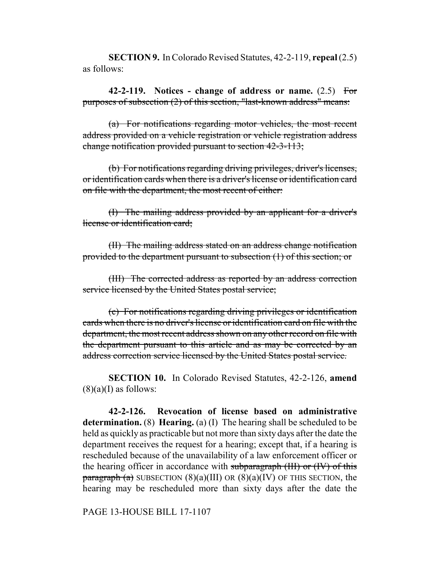**SECTION 9.** In Colorado Revised Statutes, 42-2-119, **repeal** (2.5) as follows:

**42-2-119. Notices - change of address or name.** (2.5) For purposes of subsection (2) of this section, "last-known address" means:

(a) For notifications regarding motor vehicles, the most recent address provided on a vehicle registration or vehicle registration address change notification provided pursuant to section 42-3-113;

(b) For notifications regarding driving privileges, driver's licenses, or identification cards when there is a driver's license or identification card on file with the department, the most recent of either:

(I) The mailing address provided by an applicant for a driver's license or identification card;

(II) The mailing address stated on an address change notification provided to the department pursuant to subsection (1) of this section; or

(III) The corrected address as reported by an address correction service licensed by the United States postal service;

(c) For notifications regarding driving privileges or identification cards when there is no driver's license or identification card on file with the department, the most recent address shown on any other record on file with the department pursuant to this article and as may be corrected by an address correction service licensed by the United States postal service.

**SECTION 10.** In Colorado Revised Statutes, 42-2-126, **amend**  $(8)(a)$ (I) as follows:

**42-2-126. Revocation of license based on administrative determination.** (8) **Hearing.** (a) (I) The hearing shall be scheduled to be held as quickly as practicable but not more than sixty days after the date the department receives the request for a hearing; except that, if a hearing is rescheduled because of the unavailability of a law enforcement officer or the hearing officer in accordance with subparagraph (III) or (IV) of this paragraph  $(a)$  SUBSECTION  $(8)(a)(III)$  OR  $(8)(a)(IV)$  OF THIS SECTION, the hearing may be rescheduled more than sixty days after the date the

PAGE 13-HOUSE BILL 17-1107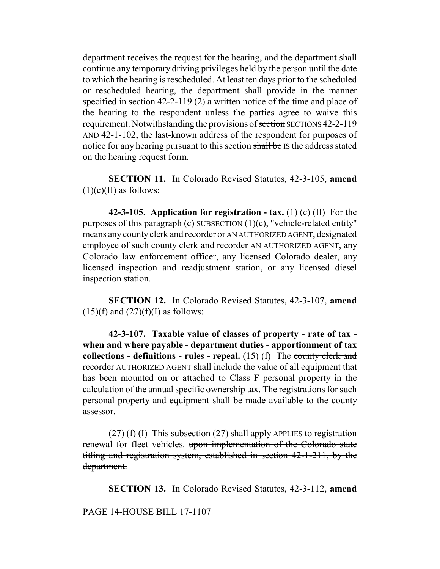department receives the request for the hearing, and the department shall continue any temporary driving privileges held by the person until the date to which the hearing is rescheduled. At least ten days prior to the scheduled or rescheduled hearing, the department shall provide in the manner specified in section 42-2-119 (2) a written notice of the time and place of the hearing to the respondent unless the parties agree to waive this requirement. Notwithstanding the provisions of section SECTIONS 42-2-119 AND 42-1-102, the last-known address of the respondent for purposes of notice for any hearing pursuant to this section shall be IS the address stated on the hearing request form.

**SECTION 11.** In Colorado Revised Statutes, 42-3-105, **amend**  $(1)(c)(II)$  as follows:

**42-3-105. Application for registration - tax.** (1) (c) (II) For the purposes of this paragraph (c) SUBSECTION  $(1)(c)$ , "vehicle-related entity" means any county clerk and recorder or AN AUTHORIZED AGENT, designated employee of such county clerk and recorder AN AUTHORIZED AGENT, any Colorado law enforcement officer, any licensed Colorado dealer, any licensed inspection and readjustment station, or any licensed diesel inspection station.

**SECTION 12.** In Colorado Revised Statutes, 42-3-107, **amend**  $(15)(f)$  and  $(27)(f)(I)$  as follows:

**42-3-107. Taxable value of classes of property - rate of tax when and where payable - department duties - apportionment of tax collections - definitions - rules - repeal.** (15) (f) The county clerk and recorder AUTHORIZED AGENT shall include the value of all equipment that has been mounted on or attached to Class F personal property in the calculation of the annual specific ownership tax. The registrations for such personal property and equipment shall be made available to the county assessor.

(27) (f) (I) This subsection (27) shall apply APPLIES to registration renewal for fleet vehicles. upon implementation of the Colorado state titling and registration system, established in section 42-1-211, by the department.

**SECTION 13.** In Colorado Revised Statutes, 42-3-112, **amend**

PAGE 14-HOUSE BILL 17-1107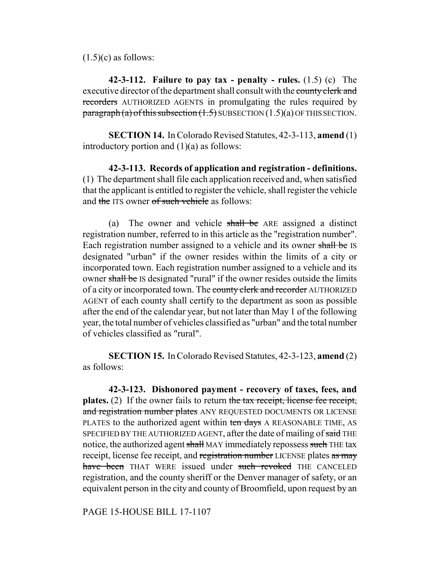$(1.5)(c)$  as follows:

**42-3-112. Failure to pay tax - penalty - rules.** (1.5) (c) The executive director of the department shall consult with the county clerk and recorders AUTHORIZED AGENTS in promulgating the rules required by  $\frac{\text{pargraph}}{a}$  of this subsection  $(1.5)$  SUBSECTION  $(1.5)(a)$  OF THIS SECTION.

**SECTION 14.** In Colorado Revised Statutes, 42-3-113, **amend** (1) introductory portion and  $(1)(a)$  as follows:

**42-3-113. Records of application and registration - definitions.** (1) The department shall file each application received and, when satisfied that the applicant is entitled to register the vehicle, shall register the vehicle and the ITS owner of such vehicle as follows:

(a) The owner and vehicle shall be ARE assigned a distinct registration number, referred to in this article as the "registration number". Each registration number assigned to a vehicle and its owner shall be IS designated "urban" if the owner resides within the limits of a city or incorporated town. Each registration number assigned to a vehicle and its owner shall be IS designated "rural" if the owner resides outside the limits of a city or incorporated town. The county clerk and recorder AUTHORIZED AGENT of each county shall certify to the department as soon as possible after the end of the calendar year, but not later than May 1 of the following year, the total number of vehicles classified as "urban" and the total number of vehicles classified as "rural".

**SECTION 15.** In Colorado Revised Statutes, 42-3-123, **amend** (2) as follows:

**42-3-123. Dishonored payment - recovery of taxes, fees, and plates.** (2) If the owner fails to return the tax receipt, license fee receipt, and registration number plates ANY REQUESTED DOCUMENTS OR LICENSE PLATES to the authorized agent within ten days A REASONABLE TIME, AS SPECIFIED BY THE AUTHORIZED AGENT, after the date of mailing of said THE notice, the authorized agent shall MAY immediately repossess such THE tax receipt, license fee receipt, and registration number LICENSE plates as may have been THAT WERE issued under such revoked THE CANCELED registration, and the county sheriff or the Denver manager of safety, or an equivalent person in the city and county of Broomfield, upon request by an

# PAGE 15-HOUSE BILL 17-1107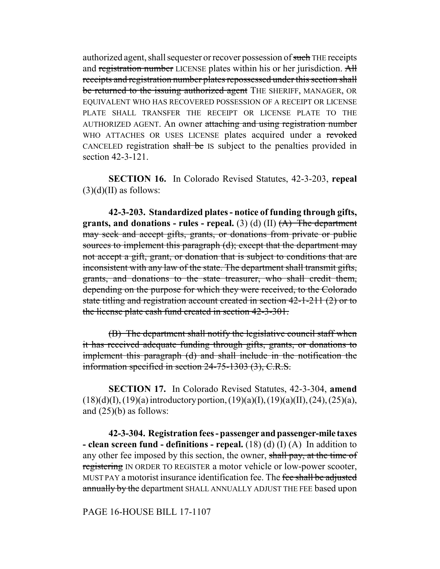authorized agent, shall sequester or recover possession of such THE receipts and registration number LICENSE plates within his or her jurisdiction. All receipts and registration number plates repossessed under this section shall be returned to the issuing authorized agent THE SHERIFF, MANAGER, OR EQUIVALENT WHO HAS RECOVERED POSSESSION OF A RECEIPT OR LICENSE PLATE SHALL TRANSFER THE RECEIPT OR LICENSE PLATE TO THE AUTHORIZED AGENT. An owner attaching and using registration number WHO ATTACHES OR USES LICENSE plates acquired under a revoked CANCELED registration shall be IS subject to the penalties provided in section 42-3-121.

**SECTION 16.** In Colorado Revised Statutes, 42-3-203, **repeal**  $(3)(d)(II)$  as follows:

**42-3-203. Standardized plates - notice of funding through gifts, grants, and donations - rules - repeal.** (3) (d) (II)  $(A)$  The department may seek and accept gifts, grants, or donations from private or public sources to implement this paragraph (d); except that the department may not accept a gift, grant, or donation that is subject to conditions that are inconsistent with any law of the state. The department shall transmit gifts, grants, and donations to the state treasurer, who shall credit them, depending on the purpose for which they were received, to the Colorado state titling and registration account created in section 42-1-211 (2) or to the license plate cash fund created in section 42-3-301.

(B) The department shall notify the legislative council staff when it has received adequate funding through gifts, grants, or donations to implement this paragraph (d) and shall include in the notification the information specified in section 24-75-1303 (3), C.R.S.

**SECTION 17.** In Colorado Revised Statutes, 42-3-304, **amend**  $(18)(d)(I), (19)(a)$  introductory portion,  $(19)(a)(I), (19)(a)(II), (24), (25)(a),$ and  $(25)(b)$  as follows:

**42-3-304. Registration fees - passenger and passenger-mile taxes - clean screen fund - definitions - repeal.** (18) (d) (I) (A) In addition to any other fee imposed by this section, the owner, shall pay, at the time of registering IN ORDER TO REGISTER a motor vehicle or low-power scooter, MUST PAY a motorist insurance identification fee. The fee shall be adjusted annually by the department SHALL ANNUALLY ADJUST THE FEE based upon

PAGE 16-HOUSE BILL 17-1107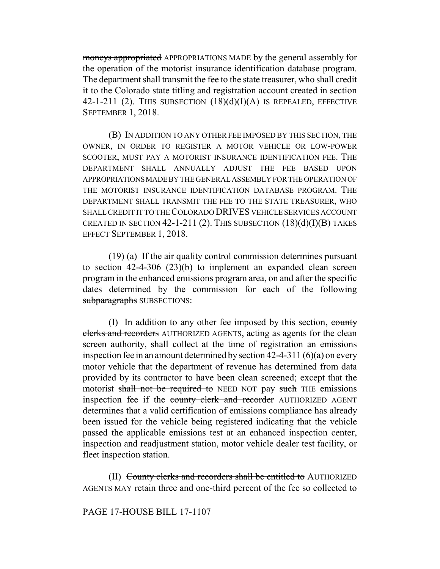moneys appropriated APPROPRIATIONS MADE by the general assembly for the operation of the motorist insurance identification database program. The department shall transmit the fee to the state treasurer, who shall credit it to the Colorado state titling and registration account created in section 42-1-211 (2). THIS SUBSECTION  $(18)(d)(I)(A)$  IS REPEALED, EFFECTIVE SEPTEMBER 1, 2018.

(B) IN ADDITION TO ANY OTHER FEE IMPOSED BY THIS SECTION, THE OWNER, IN ORDER TO REGISTER A MOTOR VEHICLE OR LOW-POWER SCOOTER, MUST PAY A MOTORIST INSURANCE IDENTIFICATION FEE. THE DEPARTMENT SHALL ANNUALLY ADJUST THE FEE BASED UPON APPROPRIATIONS MADE BY THE GENERAL ASSEMBLY FOR THE OPERATION OF THE MOTORIST INSURANCE IDENTIFICATION DATABASE PROGRAM. THE DEPARTMENT SHALL TRANSMIT THE FEE TO THE STATE TREASURER, WHO SHALL CREDIT IT TO THE COLORADO DRIVES VEHICLE SERVICES ACCOUNT CREATED IN SECTION  $42$ -1-211 (2). This subsection  $(18)(d)(I)(B)$  takes EFFECT SEPTEMBER 1, 2018.

(19) (a) If the air quality control commission determines pursuant to section 42-4-306 (23)(b) to implement an expanded clean screen program in the enhanced emissions program area, on and after the specific dates determined by the commission for each of the following subparagraphs SUBSECTIONS:

(I) In addition to any other fee imposed by this section, county clerks and recorders AUTHORIZED AGENTS, acting as agents for the clean screen authority, shall collect at the time of registration an emissions inspection fee in an amount determined by section 42-4-311 (6)(a) on every motor vehicle that the department of revenue has determined from data provided by its contractor to have been clean screened; except that the motorist shall not be required to NEED NOT pay such THE emissions inspection fee if the county clerk and recorder AUTHORIZED AGENT determines that a valid certification of emissions compliance has already been issued for the vehicle being registered indicating that the vehicle passed the applicable emissions test at an enhanced inspection center, inspection and readjustment station, motor vehicle dealer test facility, or fleet inspection station.

(II) County clerks and recorders shall be entitled to AUTHORIZED AGENTS MAY retain three and one-third percent of the fee so collected to

PAGE 17-HOUSE BILL 17-1107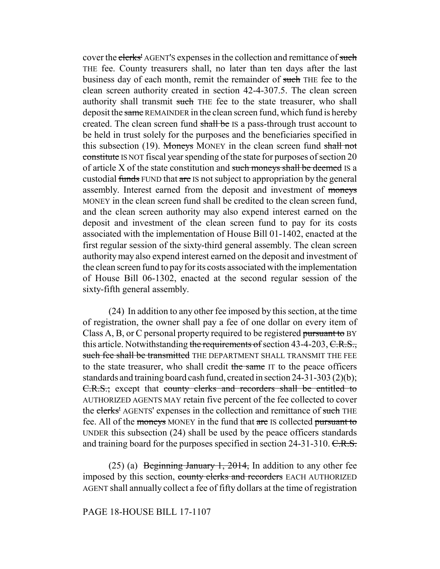cover the clerks' AGENT'S expenses in the collection and remittance of such THE fee. County treasurers shall, no later than ten days after the last business day of each month, remit the remainder of such THE fee to the clean screen authority created in section 42-4-307.5. The clean screen authority shall transmit such THE fee to the state treasurer, who shall deposit the same REMAINDER in the clean screen fund, which fund is hereby created. The clean screen fund shall be IS a pass-through trust account to be held in trust solely for the purposes and the beneficiaries specified in this subsection (19). Moneys MONEY in the clean screen fund shall not constitute IS NOT fiscal year spending of the state for purposes of section 20 of article X of the state constitution and such moneys shall be deemed IS a custodial funds FUND that are IS not subject to appropriation by the general assembly. Interest earned from the deposit and investment of moneys MONEY in the clean screen fund shall be credited to the clean screen fund, and the clean screen authority may also expend interest earned on the deposit and investment of the clean screen fund to pay for its costs associated with the implementation of House Bill 01-1402, enacted at the first regular session of the sixty-third general assembly. The clean screen authority may also expend interest earned on the deposit and investment of the clean screen fund to pay for its costs associated with the implementation of House Bill 06-1302, enacted at the second regular session of the sixty-fifth general assembly.

(24) In addition to any other fee imposed by this section, at the time of registration, the owner shall pay a fee of one dollar on every item of Class A, B, or C personal property required to be registered pursuant to BY this article. Notwithstanding the requirements of section 43-4-203,  $C.R.S.,$ such fee shall be transmitted THE DEPARTMENT SHALL TRANSMIT THE FEE to the state treasurer, who shall credit the same IT to the peace officers standards and training board cash fund, created in section 24-31-303 (2)(b); C.R.S.; except that county clerks and recorders shall be entitled to AUTHORIZED AGENTS MAY retain five percent of the fee collected to cover the clerks' AGENTS' expenses in the collection and remittance of such THE fee. All of the moneys MONEY in the fund that are IS collected pursuant to UNDER this subsection (24) shall be used by the peace officers standards and training board for the purposes specified in section 24-31-310. C.R.S.

(25) (a) Beginning January 1, 2014, In addition to any other fee imposed by this section, county clerks and recorders EACH AUTHORIZED AGENT shall annually collect a fee of fifty dollars at the time of registration

# PAGE 18-HOUSE BILL 17-1107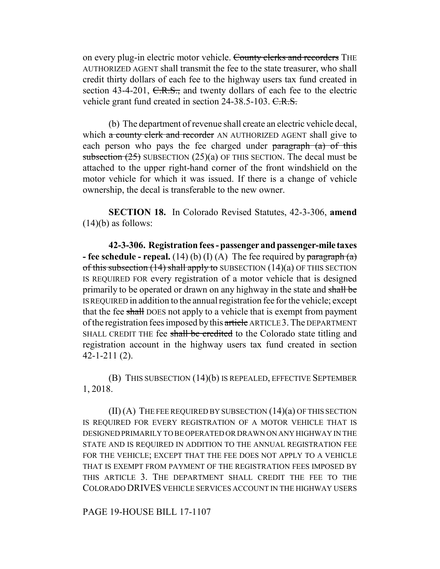on every plug-in electric motor vehicle. County clerks and recorders THE AUTHORIZED AGENT shall transmit the fee to the state treasurer, who shall credit thirty dollars of each fee to the highway users tax fund created in section 43-4-201,  $C.R.S.,$  and twenty dollars of each fee to the electric vehicle grant fund created in section 24-38.5-103. C.R.S.

(b) The department of revenue shall create an electric vehicle decal, which a county clerk and recorder AN AUTHORIZED AGENT shall give to each person who pays the fee charged under  $\frac{1}{2}$  paragraph (a) of this subsection  $(25)$  SUBSECTION  $(25)(a)$  OF THIS SECTION. The decal must be attached to the upper right-hand corner of the front windshield on the motor vehicle for which it was issued. If there is a change of vehicle ownership, the decal is transferable to the new owner.

**SECTION 18.** In Colorado Revised Statutes, 42-3-306, **amend**  $(14)(b)$  as follows:

**42-3-306. Registration fees - passenger and passenger-mile taxes - fee schedule - repeal.** (14) (b) (I) (A) The fee required by  $\frac{\text{parameter of}}{\text{mean of } \text{m}}$ of this subsection  $(14)$  shall apply to SUBSECTION  $(14)(a)$  OF THIS SECTION IS REQUIRED FOR every registration of a motor vehicle that is designed primarily to be operated or drawn on any highway in the state and shall be IS REQUIRED in addition to the annual registration fee for the vehicle; except that the fee shall DOES not apply to a vehicle that is exempt from payment of the registration fees imposed by this article ARTICLE 3. The DEPARTMENT SHALL CREDIT THE fee shall be credited to the Colorado state titling and registration account in the highway users tax fund created in section 42-1-211 (2).

(B) THIS SUBSECTION (14)(b) IS REPEALED, EFFECTIVE SEPTEMBER 1, 2018.

(II) (A) THE FEE REQUIRED BY SUBSECTION (14)(a) OF THIS SECTION IS REQUIRED FOR EVERY REGISTRATION OF A MOTOR VEHICLE THAT IS DESIGNED PRIMARILY TO BE OPERATED OR DRAWN ON ANY HIGHWAY IN THE STATE AND IS REQUIRED IN ADDITION TO THE ANNUAL REGISTRATION FEE FOR THE VEHICLE; EXCEPT THAT THE FEE DOES NOT APPLY TO A VEHICLE THAT IS EXEMPT FROM PAYMENT OF THE REGISTRATION FEES IMPOSED BY THIS ARTICLE 3. THE DEPARTMENT SHALL CREDIT THE FEE TO THE COLORADO DRIVES VEHICLE SERVICES ACCOUNT IN THE HIGHWAY USERS

PAGE 19-HOUSE BILL 17-1107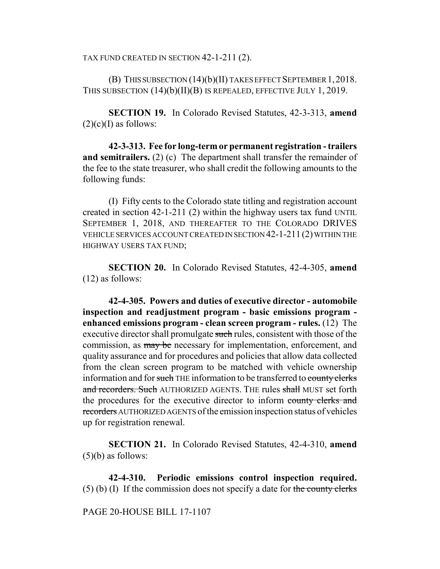TAX FUND CREATED IN SECTION 42-1-211 (2).

(B) THIS SUBSECTION (14)(b)(II) TAKES EFFECT SEPTEMBER 1,2018. THIS SUBSECTION (14)(b)(II)(B) IS REPEALED, EFFECTIVE JULY 1, 2019.

**SECTION 19.** In Colorado Revised Statutes, 42-3-313, **amend**  $(2)(c)(I)$  as follows:

**42-3-313. Fee for long-term or permanent registration - trailers and semitrailers.** (2) (c) The department shall transfer the remainder of the fee to the state treasurer, who shall credit the following amounts to the following funds:

(I) Fifty cents to the Colorado state titling and registration account created in section 42-1-211 (2) within the highway users tax fund UNTIL SEPTEMBER 1, 2018, AND THEREAFTER TO THE COLORADO DRIVES VEHICLE SERVICES ACCOUNT CREATED IN SECTION 42-1-211(2) WITHIN THE HIGHWAY USERS TAX FUND;

**SECTION 20.** In Colorado Revised Statutes, 42-4-305, **amend** (12) as follows:

**42-4-305. Powers and duties of executive director - automobile inspection and readjustment program - basic emissions program enhanced emissions program - clean screen program - rules.** (12) The executive director shall promulgate such rules, consistent with those of the commission, as may be necessary for implementation, enforcement, and quality assurance and for procedures and policies that allow data collected from the clean screen program to be matched with vehicle ownership information and for such THE information to be transferred to county clerks and recorders. Such AUTHORIZED AGENTS. THE rules shall MUST set forth the procedures for the executive director to inform county clerks and recorders AUTHORIZED AGENTS of the emission inspection status of vehicles up for registration renewal.

**SECTION 21.** In Colorado Revised Statutes, 42-4-310, **amend**  $(5)(b)$  as follows:

**42-4-310. Periodic emissions control inspection required.** (5) (b) (I) If the commission does not specify a date for the county clerks

PAGE 20-HOUSE BILL 17-1107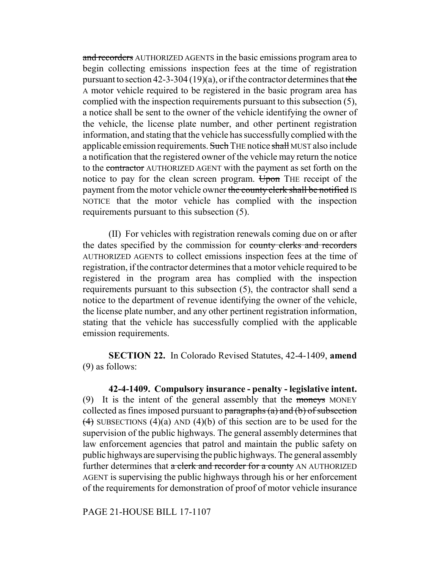and recorders AUTHORIZED AGENTS in the basic emissions program area to begin collecting emissions inspection fees at the time of registration pursuant to section 42-3-304 (19)(a), or if the contractor determines that the A motor vehicle required to be registered in the basic program area has complied with the inspection requirements pursuant to this subsection (5), a notice shall be sent to the owner of the vehicle identifying the owner of the vehicle, the license plate number, and other pertinent registration information, and stating that the vehicle has successfully complied with the applicable emission requirements. Such THE notice shall MUST also include a notification that the registered owner of the vehicle may return the notice to the contractor AUTHORIZED AGENT with the payment as set forth on the notice to pay for the clean screen program. Upon THE receipt of the payment from the motor vehicle owner the county clerk shall be notified IS NOTICE that the motor vehicle has complied with the inspection requirements pursuant to this subsection (5).

(II) For vehicles with registration renewals coming due on or after the dates specified by the commission for county clerks and recorders AUTHORIZED AGENTS to collect emissions inspection fees at the time of registration, if the contractor determines that a motor vehicle required to be registered in the program area has complied with the inspection requirements pursuant to this subsection (5), the contractor shall send a notice to the department of revenue identifying the owner of the vehicle, the license plate number, and any other pertinent registration information, stating that the vehicle has successfully complied with the applicable emission requirements.

**SECTION 22.** In Colorado Revised Statutes, 42-4-1409, **amend** (9) as follows:

**42-4-1409. Compulsory insurance - penalty - legislative intent.** (9) It is the intent of the general assembly that the moneys MONEY collected as fines imposed pursuant to paragraphs  $(a)$  and  $(b)$  of subsection  $(4)$  SUBSECTIONS  $(4)(a)$  AND  $(4)(b)$  of this section are to be used for the supervision of the public highways. The general assembly determines that law enforcement agencies that patrol and maintain the public safety on public highways are supervising the public highways. The general assembly further determines that a clerk and recorder for a county AN AUTHORIZED AGENT is supervising the public highways through his or her enforcement of the requirements for demonstration of proof of motor vehicle insurance

PAGE 21-HOUSE BILL 17-1107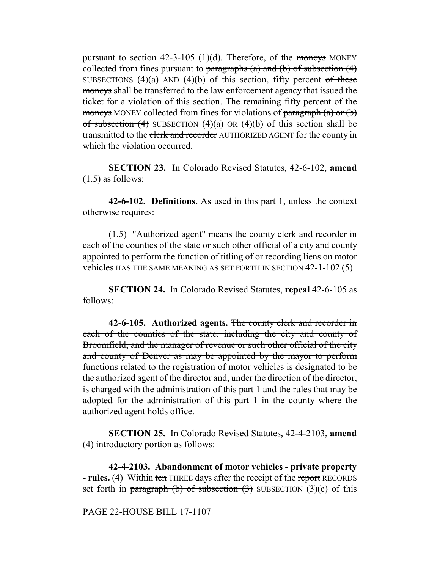pursuant to section  $42-3-105$  (1)(d). Therefore, of the moneys MONEY collected from fines pursuant to paragraphs (a) and (b) of subsection  $(4)$ SUBSECTIONS  $(4)(a)$  AND  $(4)(b)$  of this section, fifty percent of these moneys shall be transferred to the law enforcement agency that issued the ticket for a violation of this section. The remaining fifty percent of the moneys MONEY collected from fines for violations of  $\frac{\text{parameters}}{\text{parameters}}$ of subsection  $(4)$  SUBSECTION  $(4)(a)$  OR  $(4)(b)$  of this section shall be transmitted to the clerk and recorder AUTHORIZED AGENT for the county in which the violation occurred.

**SECTION 23.** In Colorado Revised Statutes, 42-6-102, **amend** (1.5) as follows:

**42-6-102. Definitions.** As used in this part 1, unless the context otherwise requires:

(1.5) "Authorized agent" means the county clerk and recorder in each of the counties of the state or such other official of a city and county appointed to perform the function of titling of or recording liens on motor vehicles HAS THE SAME MEANING AS SET FORTH IN SECTION 42-1-102 (5).

**SECTION 24.** In Colorado Revised Statutes, **repeal** 42-6-105 as follows:

**42-6-105. Authorized agents.** The county clerk and recorder in each of the counties of the state, including the city and county of Broomfield, and the manager of revenue or such other official of the city and county of Denver as may be appointed by the mayor to perform functions related to the registration of motor vehicles is designated to be the authorized agent of the director and, under the direction of the director, is charged with the administration of this part 1 and the rules that may be adopted for the administration of this part 1 in the county where the authorized agent holds office.

**SECTION 25.** In Colorado Revised Statutes, 42-4-2103, **amend** (4) introductory portion as follows:

**42-4-2103. Abandonment of motor vehicles - private property - rules.** (4) Within ten THREE days after the receipt of the report RECORDS set forth in paragraph (b) of subsection  $(3)$  SUBSECTION  $(3)(c)$  of this

PAGE 22-HOUSE BILL 17-1107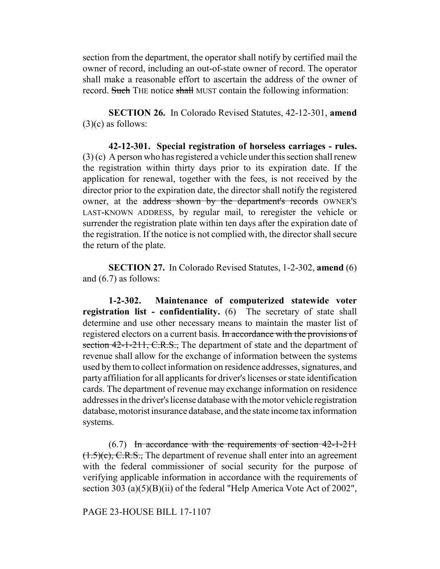section from the department, the operator shall notify by certified mail the owner of record, including an out-of-state owner of record. The operator shall make a reasonable effort to ascertain the address of the owner of record. Such THE notice shall MUST contain the following information:

**SECTION 26.** In Colorado Revised Statutes, 42-12-301, **amend**  $(3)(c)$  as follows:

**42-12-301. Special registration of horseless carriages - rules.** (3) (c) A person who has registered a vehicle under this section shall renew the registration within thirty days prior to its expiration date. If the application for renewal, together with the fees, is not received by the director prior to the expiration date, the director shall notify the registered owner, at the address shown by the department's records OWNER'S LAST-KNOWN ADDRESS, by regular mail, to reregister the vehicle or surrender the registration plate within ten days after the expiration date of the registration. If the notice is not complied with, the director shall secure the return of the plate.

**SECTION 27.** In Colorado Revised Statutes, 1-2-302, **amend** (6) and (6.7) as follows:

**1-2-302. Maintenance of computerized statewide voter registration list - confidentiality.** (6) The secretary of state shall determine and use other necessary means to maintain the master list of registered electors on a current basis. In accordance with the provisions of section 42-1-211, C.R.S., The department of state and the department of revenue shall allow for the exchange of information between the systems used by them to collect information on residence addresses, signatures, and party affiliation for all applicants for driver's licenses or state identification cards. The department of revenue may exchange information on residence addresses in the driver's license database with the motor vehicle registration database, motorist insurance database, and the state income tax information systems.

 $(6.7)$  In accordance with the requirements of section  $42$ -1-211  $(1.5)(c)$ , C.R.S., The department of revenue shall enter into an agreement with the federal commissioner of social security for the purpose of verifying applicable information in accordance with the requirements of section 303 (a)(5)(B)(ii) of the federal "Help America Vote Act of 2002",

PAGE 23-HOUSE BILL 17-1107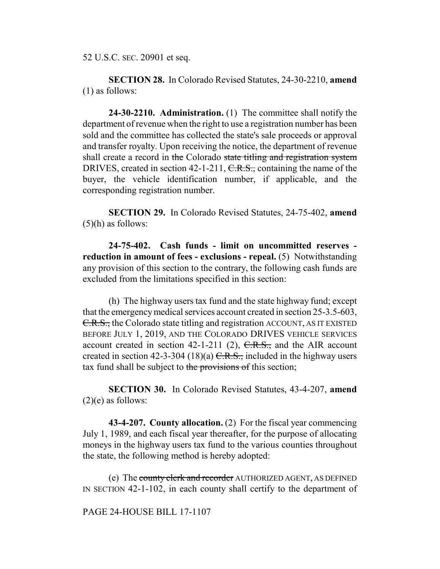52 U.S.C. SEC. 20901 et seq.

**SECTION 28.** In Colorado Revised Statutes, 24-30-2210, **amend** (1) as follows:

**24-30-2210. Administration.** (1) The committee shall notify the department of revenue when the right to use a registration number has been sold and the committee has collected the state's sale proceeds or approval and transfer royalty. Upon receiving the notice, the department of revenue shall create a record in the Colorado state titling and registration system DRIVES, created in section 42-1-211,  $C.R.S.,$  containing the name of the buyer, the vehicle identification number, if applicable, and the corresponding registration number.

**SECTION 29.** In Colorado Revised Statutes, 24-75-402, **amend**  $(5)(h)$  as follows:

**24-75-402. Cash funds - limit on uncommitted reserves reduction in amount of fees - exclusions - repeal.** (5) Notwithstanding any provision of this section to the contrary, the following cash funds are excluded from the limitations specified in this section:

(h) The highway users tax fund and the state highway fund; except that the emergency medical services account created in section 25-3.5-603, C.R.S., the Colorado state titling and registration ACCOUNT, AS IT EXISTED BEFORE JULY 1, 2019, AND THE COLORADO DRIVES VEHICLE SERVICES account created in section 42-1-211 (2),  $C.R.S.,$  and the AIR account created in section 42-3-304 (18)(a)  $C.R.S.,$  included in the highway users tax fund shall be subject to the provisions of this section;

**SECTION 30.** In Colorado Revised Statutes, 43-4-207, **amend**  $(2)(e)$  as follows:

**43-4-207. County allocation.** (2) For the fiscal year commencing July 1, 1989, and each fiscal year thereafter, for the purpose of allocating moneys in the highway users tax fund to the various counties throughout the state, the following method is hereby adopted:

(e) The county clerk and recorder AUTHORIZED AGENT, AS DEFINED IN SECTION 42-1-102, in each county shall certify to the department of

# PAGE 24-HOUSE BILL 17-1107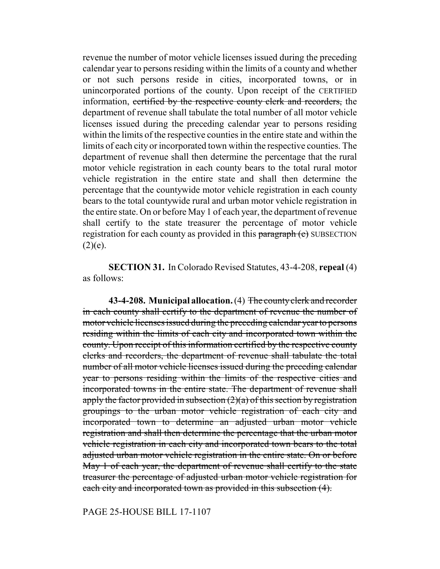revenue the number of motor vehicle licenses issued during the preceding calendar year to persons residing within the limits of a county and whether or not such persons reside in cities, incorporated towns, or in unincorporated portions of the county. Upon receipt of the CERTIFIED information, certified by the respective county clerk and recorders, the department of revenue shall tabulate the total number of all motor vehicle licenses issued during the preceding calendar year to persons residing within the limits of the respective counties in the entire state and within the limits of each city or incorporated town within the respective counties. The department of revenue shall then determine the percentage that the rural motor vehicle registration in each county bears to the total rural motor vehicle registration in the entire state and shall then determine the percentage that the countywide motor vehicle registration in each county bears to the total countywide rural and urban motor vehicle registration in the entire state. On or before May 1 of each year, the department of revenue shall certify to the state treasurer the percentage of motor vehicle registration for each county as provided in this paragraph (e) SUBSECTION  $(2)(e)$ .

**SECTION 31.** In Colorado Revised Statutes, 43-4-208, **repeal** (4) as follows:

**43-4-208. Municipal allocation.** (4) The county clerk and recorder in each county shall certify to the department of revenue the number of motor vehicle licenses issued during the preceding calendar year to persons residing within the limits of each city and incorporated town within the county. Upon receipt of this information certified by the respective county clerks and recorders, the department of revenue shall tabulate the total number of all motor vehicle licenses issued during the preceding calendar year to persons residing within the limits of the respective cities and incorporated towns in the entire state. The department of revenue shall apply the factor provided in subsection  $(2)(a)$  of this section by registration groupings to the urban motor vehicle registration of each city and incorporated town to determine an adjusted urban motor vehicle registration and shall then determine the percentage that the urban motor vehicle registration in each city and incorporated town bears to the total adjusted urban motor vehicle registration in the entire state. On or before May 1 of each year, the department of revenue shall certify to the state treasurer the percentage of adjusted urban motor vehicle registration for each city and incorporated town as provided in this subsection (4).

PAGE 25-HOUSE BILL 17-1107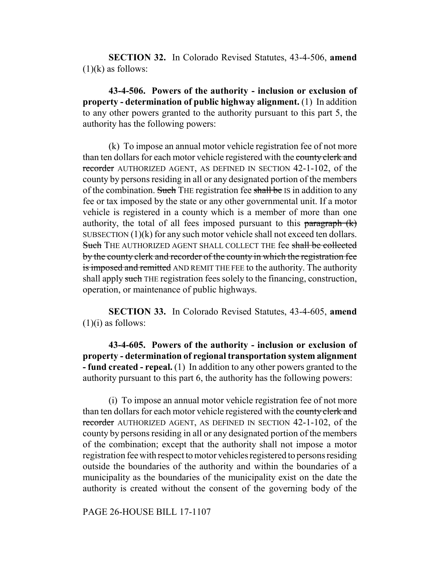**SECTION 32.** In Colorado Revised Statutes, 43-4-506, **amend**  $(1)(k)$  as follows:

**43-4-506. Powers of the authority - inclusion or exclusion of property - determination of public highway alignment.** (1) In addition to any other powers granted to the authority pursuant to this part 5, the authority has the following powers:

(k) To impose an annual motor vehicle registration fee of not more than ten dollars for each motor vehicle registered with the county clerk and recorder AUTHORIZED AGENT, AS DEFINED IN SECTION 42-1-102, of the county by persons residing in all or any designated portion of the members of the combination. Such THE registration fee shall be IS in addition to any fee or tax imposed by the state or any other governmental unit. If a motor vehicle is registered in a county which is a member of more than one authority, the total of all fees imposed pursuant to this paragraph  $(k)$ SUBSECTION (1)(k) for any such motor vehicle shall not exceed ten dollars. Such THE AUTHORIZED AGENT SHALL COLLECT THE fee shall be collected by the county clerk and recorder of the county in which the registration fee is imposed and remitted AND REMIT THE FEE to the authority. The authority shall apply such THE registration fees solely to the financing, construction, operation, or maintenance of public highways.

**SECTION 33.** In Colorado Revised Statutes, 43-4-605, **amend**  $(1)(i)$  as follows:

**43-4-605. Powers of the authority - inclusion or exclusion of property - determination of regional transportation system alignment - fund created - repeal.** (1) In addition to any other powers granted to the authority pursuant to this part 6, the authority has the following powers:

(i) To impose an annual motor vehicle registration fee of not more than ten dollars for each motor vehicle registered with the county clerk and recorder AUTHORIZED AGENT, AS DEFINED IN SECTION 42-1-102, of the county by persons residing in all or any designated portion of the members of the combination; except that the authority shall not impose a motor registration fee with respect to motor vehicles registered to persons residing outside the boundaries of the authority and within the boundaries of a municipality as the boundaries of the municipality exist on the date the authority is created without the consent of the governing body of the

PAGE 26-HOUSE BILL 17-1107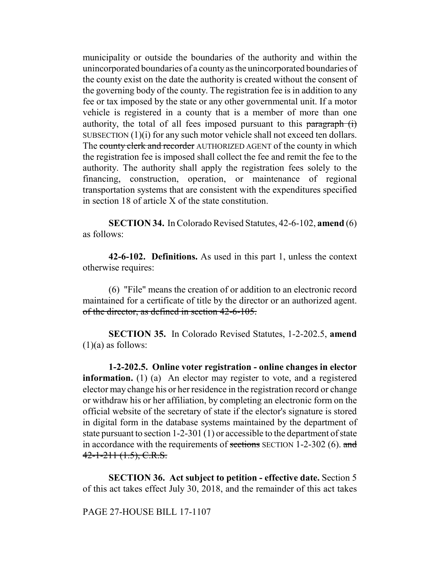municipality or outside the boundaries of the authority and within the unincorporated boundaries of a county as the unincorporated boundaries of the county exist on the date the authority is created without the consent of the governing body of the county. The registration fee is in addition to any fee or tax imposed by the state or any other governmental unit. If a motor vehicle is registered in a county that is a member of more than one authority, the total of all fees imposed pursuant to this  $\frac{\text{parameter}}{\text{mean}}$ SUBSECTION (1)(i) for any such motor vehicle shall not exceed ten dollars. The county clerk and recorder AUTHORIZED AGENT of the county in which the registration fee is imposed shall collect the fee and remit the fee to the authority. The authority shall apply the registration fees solely to the financing, construction, operation, or maintenance of regional transportation systems that are consistent with the expenditures specified in section 18 of article X of the state constitution.

**SECTION 34.** In Colorado Revised Statutes, 42-6-102, **amend** (6) as follows:

**42-6-102. Definitions.** As used in this part 1, unless the context otherwise requires:

(6) "File" means the creation of or addition to an electronic record maintained for a certificate of title by the director or an authorized agent. of the director, as defined in section 42-6-105.

**SECTION 35.** In Colorado Revised Statutes, 1-2-202.5, **amend**  $(1)(a)$  as follows:

**1-2-202.5. Online voter registration - online changes in elector information.** (1) (a) An elector may register to vote, and a registered elector may change his or her residence in the registration record or change or withdraw his or her affiliation, by completing an electronic form on the official website of the secretary of state if the elector's signature is stored in digital form in the database systems maintained by the department of state pursuant to section 1-2-301 (1) or accessible to the department of state in accordance with the requirements of sections SECTION 1-2-302 (6). and  $42 - 1 - 211$  (1.5), C.R.S.

**SECTION 36. Act subject to petition - effective date.** Section 5 of this act takes effect July 30, 2018, and the remainder of this act takes